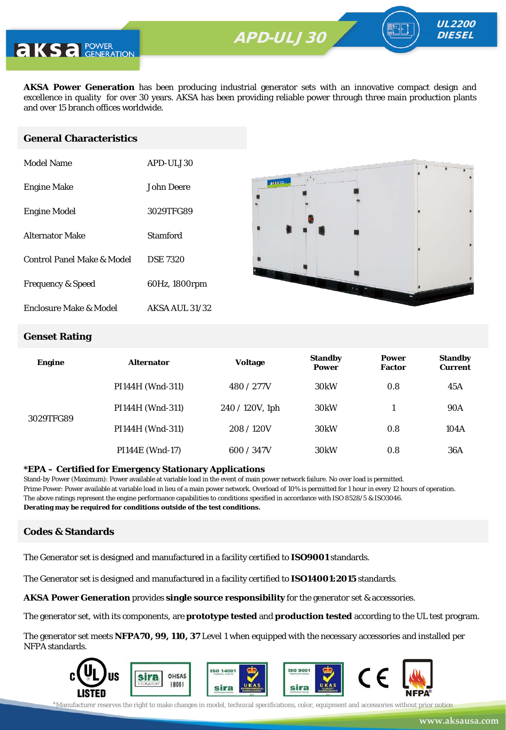**APD-ULV350** APD-ULJ30



**AKSA Power Generation** has been producing industrial generator sets with an innovative compact design and excellence in quality for over 30 years. AKSA has been providing reliable power through three main production plants and over 15 branch offices worldwide.

#### **General Characteristics**

| Model Name                   | APD-ULJ30             |
|------------------------------|-----------------------|
| <b>Engine Make</b>           | John Deere            |
| <b>Engine Model</b>          | 3029TFG89             |
| <b>Alternator Make</b>       | Stamford              |
| Control Panel Make & Model   | <b>DSE 7320</b>       |
| <b>Frequency &amp; Speed</b> | 60Hz, 1800rpm         |
| Enclosure Make & Model       | <b>AKSA AUL 31/32</b> |



UL2200 **DIESEL** 

#### **Genset Rating**

| <b>Engine</b> | <b>Alternator</b> | <b>Voltage</b>     | <b>Standby</b><br><b>Power</b> | <b>Power</b><br><b>Factor</b> | <b>Standby</b><br><b>Current</b> |
|---------------|-------------------|--------------------|--------------------------------|-------------------------------|----------------------------------|
|               | PI144H (Wnd-311)  | 480 / 277V         | 30 <sub>k</sub> W              | 0.8                           | 45A                              |
| 3029TFG89     | PI144H (Wnd-311)  | $240 / 120V$ , 1ph | 30 <sub>k</sub> W              |                               | <b>90A</b>                       |
|               | PI144H (Wnd-311)  | 208/120V           | 30 <sub>k</sub> W              | 0.8                           | 104A                             |
|               | PI144E (Wnd-17)   | 600 / 347V         | 30 <sub>k</sub> W              | 0.8                           | 36A                              |

#### **\*EPA – Certified for Emergency Stationary Applications**

Stand-by Power (Maximum): Power available at variable load in the event of main power network failure. No over load is permitted. Prime Power: Power available at variable load in lieu of a main power network. Overload of 10% is permitted for 1 hour in every 12 hours of operation. The above ratings represent the engine performance capabilities to conditions specified in accordance with ISO 8528/5 & ISO3046. **Derating may be required for conditions outside of the test conditions.**

#### **Codes & Standards**

The Generator set is designed and manufactured in a facility certified to **ISO9001** standards.

The Generator set is designed and manufactured in a facility certified to **ISO14001:2015** standards.

**AKSA Power Generation** provides **single source responsibility** for the generator set & accessories.

The generator set, with its components, are **prototype tested** and **production tested** according to the UL test program.

The generator set meets **NFPA70, 99, 110, 37** Level 1 when equipped with the necessary accessories and installed per NFPA standards.



\*Manufacturer reserves the right to make changes in model, technical specifications, color, equipment and accessories without prior notice.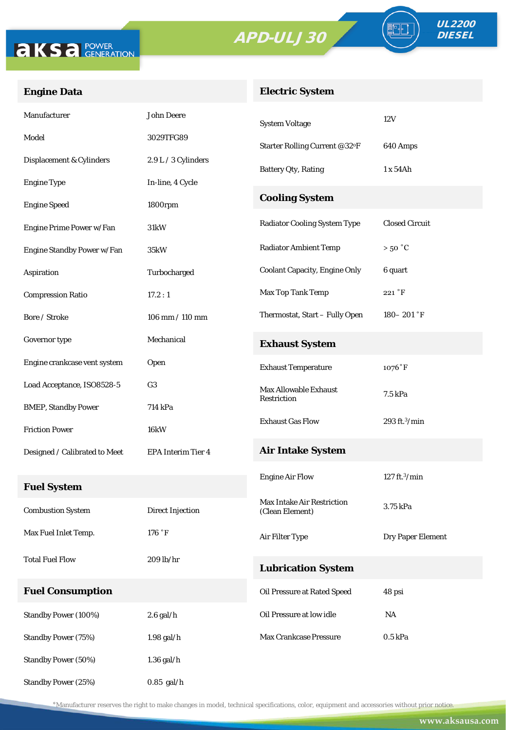



FO

## **Engine Data**

## **Electric System**

| Manufacturer                  | <b>John Deere</b>       | <b>System Voltage</b>                | 12V                        |
|-------------------------------|-------------------------|--------------------------------------|----------------------------|
| Model                         | 3029TFG89               | Starter Rolling Current @32°F        | 640 Amps                   |
| Displacement & Cylinders      | 2.9 L / 3 Cylinders     | <b>Battery Qty, Rating</b>           | 1x54Ah                     |
| <b>Engine Type</b>            | In-line, 4 Cycle        |                                      |                            |
| <b>Engine Speed</b>           | 1800rpm                 | <b>Cooling System</b>                |                            |
| Engine Prime Power w/Fan      | 31kW                    | <b>Radiator Cooling System Type</b>  | <b>Closed Circuit</b>      |
| Engine Standby Power w/Fan    | 35kW                    | <b>Radiator Ambient Temp</b>         | $>50\degree C$             |
| Aspiration                    | Turbocharged            | <b>Coolant Capacity, Engine Only</b> | 6 quart                    |
| <b>Compression Ratio</b>      | 17.2:1                  | Max Top Tank Temp                    | $221\,^{\circ} \mathrm{F}$ |
| Bore / Stroke                 | 106 mm / 110 mm         | Thermostat, Start - Fully Open       | $180 - 201$ °F             |
| Governor type                 | Mechanical              | <b>Exhaust System</b>                |                            |
| Engine crankcase vent system  | Open                    | <b>Exhaust Temperature</b>           | $1076°$ F                  |
| Load Acceptance, ISO8528-5    | G <sub>3</sub>          | <b>Max Allowable Exhaust</b>         | 7.5 kPa                    |
| <b>BMEP, Standby Power</b>    | 714 kPa                 | Restriction                          |                            |
| <b>Friction Power</b>         | <b>16kW</b>             | <b>Exhaust Gas Flow</b>              | $293$ ft. $3$ /min         |
| Designed / Calibrated to Meet | EPA Interim Tier 4      | <b>Air Intake System</b>             |                            |
|                               |                         | <b>Engine Air Flow</b>               | 127 ft. $3$ /min           |
| <b>Fuel System</b>            |                         | Max Intake Air Restriction           |                            |
| <b>Combustion System</b>      | <b>Direct Injection</b> | (Clean Element)                      | 3.75 kPa                   |
| Max Fuel Inlet Temp.          | 176 °F                  | Air Filter Type                      | <b>Dry Paper Element</b>   |
| <b>Total Fuel Flow</b>        | $209$ lb/hr             | <b>Lubrication System</b>            |                            |
| <b>Fuel Consumption</b>       |                         | <b>Oil Pressure at Rated Speed</b>   | 48 psi                     |
| Standby Power (100%)          | $2.6$ gal/h             | Oil Pressure at low idle             | <b>NA</b>                  |
| <b>Standby Power (75%)</b>    | $1.98$ gal/h            | Max Crankcase Pressure               | 0.5 kPa                    |
|                               |                         |                                      |                            |
| Standby Power (50%)           | $1.36$ gal/h            |                                      |                            |
| Standby Power (25%)           | $0.85$ gal/h            |                                      |                            |

\*Manufacturer reserves the right to make changes in model, technical specifications, color, equipment and accessories without prior notice.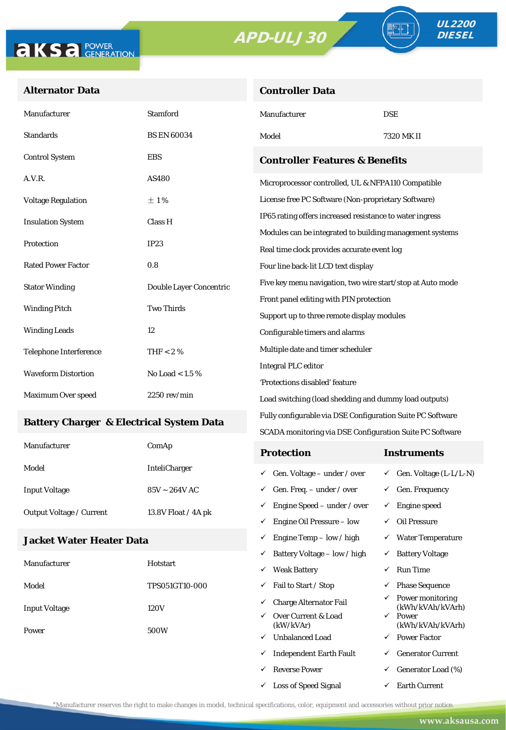

TE

#### **Alternator Data**

| <b>Controller Data</b> |  |
|------------------------|--|
|                        |  |

| Manufacturer                                        | Stamford                | Manufacturer                                                                                            | <b>DSE</b>                                                              |  |
|-----------------------------------------------------|-------------------------|---------------------------------------------------------------------------------------------------------|-------------------------------------------------------------------------|--|
| Standards                                           | <b>BS EN 60034</b>      | Model                                                                                                   | 7320 MK II                                                              |  |
| <b>Control System</b>                               | <b>EBS</b>              | <b>Controller Features &amp; Benefits</b>                                                               |                                                                         |  |
| A.V.R.                                              | AS480                   | Microprocessor controlled, UL & NFPA110 Compatible                                                      |                                                                         |  |
| <b>Voltage Regulation</b>                           | ±1%                     | License free PC Software (Non-proprietary Software)                                                     |                                                                         |  |
| <b>Insulation System</b>                            | Class H                 | IP65 rating offers increased resistance to water ingress                                                |                                                                         |  |
| Protection                                          | IP23                    | Modules can be integrated to building management systems<br>Real time clock provides accurate event log |                                                                         |  |
| <b>Rated Power Factor</b>                           | 0.8                     | Four line back-lit LCD text display                                                                     |                                                                         |  |
| <b>Stator Winding</b>                               | Double Layer Concentric | Five key menu navigation, two wire start/stop at Auto mode                                              |                                                                         |  |
| <b>Winding Pitch</b>                                | <b>Two Thirds</b>       | Front panel editing with PIN protection<br>Support up to three remote display modules                   |                                                                         |  |
| <b>Winding Leads</b>                                | 12                      | Configurable timers and alarms                                                                          |                                                                         |  |
| Telephone Interference                              | THF $< 2 \%$            | Multiple date and timer scheduler                                                                       |                                                                         |  |
| <b>Waveform Distortion</b>                          | No Load < $1.5\%$       | <b>Integral PLC editor</b>                                                                              |                                                                         |  |
|                                                     |                         | 'Protections disabled' feature                                                                          |                                                                         |  |
| Maximum Over speed                                  | $2250$ rev/min          | Load switching (load shedding and dummy load outputs)                                                   |                                                                         |  |
| <b>Battery Charger &amp; Electrical System Data</b> |                         | Fully configurable via DSE Configuration Suite PC Software                                              |                                                                         |  |
|                                                     |                         | SCADA monitoring via DSE Configuration Suite PC Software                                                |                                                                         |  |
| Manufacturer                                        | ComAp                   | <b>Protection</b>                                                                                       | <b>Instruments</b>                                                      |  |
| Model                                               | InteliCharger           | $\checkmark$ Gen. Voltage – under / over                                                                | $\checkmark$ Gen. Voltage (L-L/L-N)                                     |  |
| <b>Input Voltage</b>                                | $85V \sim 264V$ AC      | $\checkmark$ Gen. Freq. - under / over                                                                  | $\checkmark$ Gen. Frequency                                             |  |
| Output Voltage / Current                            | 13.8V Float / 4A pk     | $\checkmark$ Engine Speed – under / over                                                                | $\checkmark$ Engine speed                                               |  |
|                                                     |                         | $\checkmark$ Engine Oil Pressure – low                                                                  | $\checkmark$ Oil Pressure                                               |  |
| Jacket Water Heater Data                            |                         | $\checkmark$ Engine Temp – low / high                                                                   | $\checkmark$ Water Temperature                                          |  |
| Manufacturer                                        | Hotstart                | $\checkmark$ Battery Voltage – low / high                                                               | $\checkmark$ Battery Voltage                                            |  |
|                                                     |                         | <b>Weak Battery</b>                                                                                     | $\checkmark$ Run Time                                                   |  |
| Model                                               | TPS051GT10-000          | Fail to Start / Stop<br>✓                                                                               | <b>Phase Sequence</b><br>✓                                              |  |
| Input Voltage                                       | 120V                    | <b>Charge Alternator Fail</b><br>✓<br>Over Current & Load<br>✓                                          | $\checkmark$ Power monitoring<br>(kWh/kVAh/kVArh)<br>$\checkmark$ Power |  |

\*Manufacturer reserves the right to make changes in model, technical specifications, color, equipment and accessories without prior notice.

(kW/kVAr)

 $\checkmark$  Unbalanced Load  $\checkmark$  Power Factor  $\checkmark$  Independent Earth Fault  $\checkmark$  Generator Current  $\begin{array}{ccc} \checkmark & \text{Generator Load} \ (\%) \end{array}$  $\checkmark$  Loss of Speed Signal  $\checkmark$  Earth Current

(kWh/kVAh/kVArh)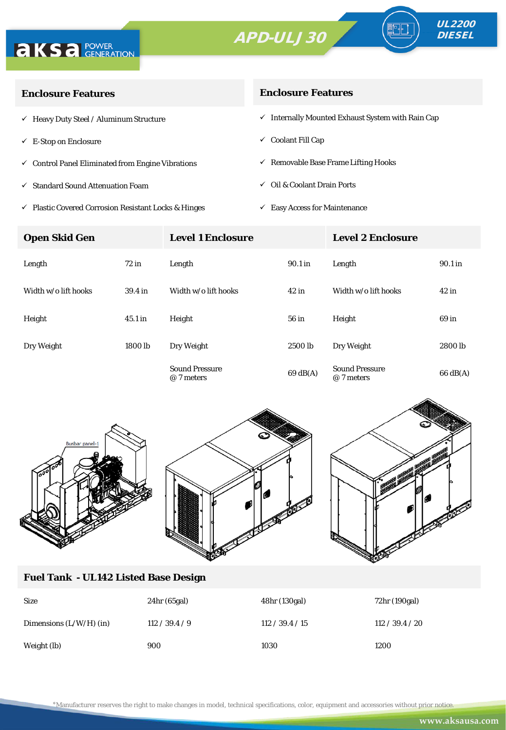



| <b>Enclosure Features</b>                                    | <b>Enclosure Features</b>                                    |  |  |
|--------------------------------------------------------------|--------------------------------------------------------------|--|--|
| $\checkmark$ Heavy Duty Steel / Aluminum Structure           | $\checkmark$ Internally Mounted Exhaust System with Rain Cap |  |  |
| $\checkmark$ E-Stop on Enclosure                             | $\checkmark$ Coolant Fill Cap                                |  |  |
| $\checkmark$ Control Panel Eliminated from Engine Vibrations | $\checkmark$ Removable Base Frame Lifting Hooks              |  |  |
| $\checkmark$ Standard Sound Attenuation Foam                 | $\checkmark$ Oil & Coolant Drain Ports                       |  |  |
|                                                              |                                                              |  |  |

- $\checkmark$ Plastic Covered Corrosion Resistant Locks & Hinges
- $\checkmark~$  Easy Access for Maintenance

| <b>Open Skid Gen</b> |                    | <b>Level 1 Enclosure</b>            |          | <b>Level 2 Enclosure</b>            |                    |  |
|----------------------|--------------------|-------------------------------------|----------|-------------------------------------|--------------------|--|
| Length               | 72 in              | Length                              | 90.1 in  | Length                              | 90.1 in            |  |
| Width w/o lift hooks | 39.4 <sub>in</sub> | Width w/o lift hooks                | $42$ in  | Width w/o lift hooks                | $42$ in            |  |
| Height               | $45.1$ in          | Height                              | 56 in    | Height                              | 69 in              |  |
| Dry Weight           | 1800 lb            | Dry Weight                          | 2500 lb  | Dry Weight                          | 2800 lb            |  |
|                      |                    | <b>Sound Pressure</b><br>@ 7 meters | 69 dB(A) | <b>Sound Pressure</b><br>@ 7 meters | $66 \text{ dB(A)}$ |  |



## **Fuel Tank - UL142 Listed Base Design**

| <b>Size</b>               | $24hr$ (65gal) | 48hr (130gal)   | 72hr (190gal)   |
|---------------------------|----------------|-----------------|-----------------|
| Dimensions $(L/W/H)$ (in) | 112 / 39.4 / 9 | 112 / 39.4 / 15 | 112 / 39.4 / 20 |
| Weight (lb)               | 900            | 1030            | 1200            |